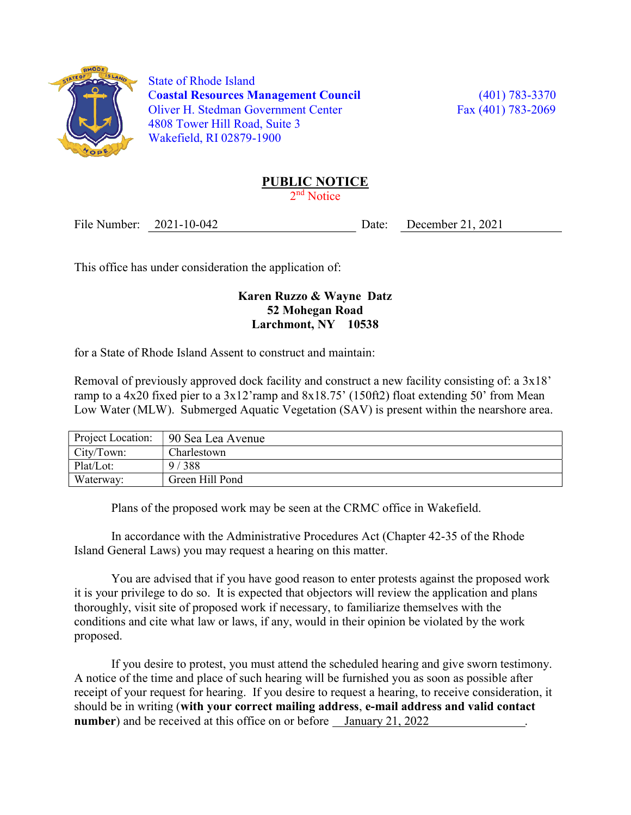

 State of Rhode Island Coastal Resources Management Council (401) 783-3370 Oliver H. Stedman Government Center Fax (401) 783-2069 4808 Tower Hill Road, Suite 3 Wakefield, RI 02879-1900

## PUBLIC NOTICE

2<sup>nd</sup> Notice

File Number: 2021-10-042 Date: December 21, 2021

This office has under consideration the application of:

## Karen Ruzzo & Wayne Datz 52 Mohegan Road Larchmont, NY 10538

for a State of Rhode Island Assent to construct and maintain:

Removal of previously approved dock facility and construct a new facility consisting of: a 3x18' ramp to a 4x20 fixed pier to a 3x12'ramp and 8x18.75' (150ft2) float extending 50' from Mean Low Water (MLW). Submerged Aquatic Vegetation (SAV) is present within the nearshore area.

| Project Location: | 90 Sea Lea Avenue |
|-------------------|-------------------|
| City/Town:        | Charlestown       |
| Plat/Lot:         | 9/388             |
| Waterway:         | Green Hill Pond   |

Plans of the proposed work may be seen at the CRMC office in Wakefield.

In accordance with the Administrative Procedures Act (Chapter 42-35 of the Rhode Island General Laws) you may request a hearing on this matter.

You are advised that if you have good reason to enter protests against the proposed work it is your privilege to do so. It is expected that objectors will review the application and plans thoroughly, visit site of proposed work if necessary, to familiarize themselves with the conditions and cite what law or laws, if any, would in their opinion be violated by the work proposed.

If you desire to protest, you must attend the scheduled hearing and give sworn testimony. A notice of the time and place of such hearing will be furnished you as soon as possible after receipt of your request for hearing. If you desire to request a hearing, to receive consideration, it should be in writing (with your correct mailing address, e-mail address and valid contact number) and be received at this office on or before January 21, 2022